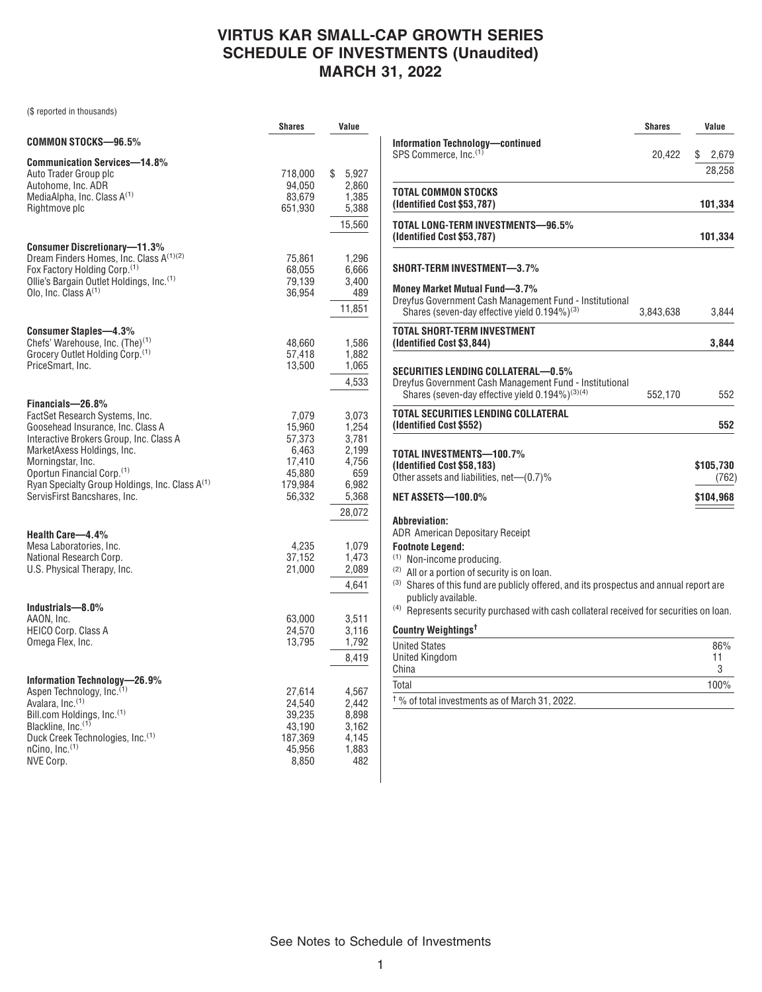## **VIRTUS KAR SMALL-CAP GROWTH SERIES SCHEDULE OF INVESTMENTS (Unaudited) MARCH 31, 2022**

(\$ reported in thousands)

|                                                                                                                                                                                                                                                                                                                               | Shares                                                                      | Value                                                                        |
|-------------------------------------------------------------------------------------------------------------------------------------------------------------------------------------------------------------------------------------------------------------------------------------------------------------------------------|-----------------------------------------------------------------------------|------------------------------------------------------------------------------|
| COMMON STOCKS-96.5%                                                                                                                                                                                                                                                                                                           |                                                                             |                                                                              |
| <b>Communication Services-14.8%</b><br>Auto Trader Group plc<br>Autohome, Inc. ADR<br>MediaAlpha, Inc. Class A <sup>(1)</sup><br>Rightmove plc                                                                                                                                                                                | 718,000<br>94,050<br>83,679<br>651,930                                      | \$<br>5,927<br>2.860<br>1,385<br>5,388<br>15,560                             |
| <b>Consumer Discretionary-11.3%</b><br>Dream Finders Homes, Inc. Class A(1)(2)<br>Fox Factory Holding Corp. <sup>(1)</sup><br>Ollie's Bargain Outlet Holdings, Inc. <sup>(1)</sup><br>Olo, Inc. Class $A^{(1)}$                                                                                                               | 75,861<br>68,055<br>79,139<br>36,954                                        | 1,296<br>6,666<br>3,400<br>489<br>11,851                                     |
| <b>Consumer Staples-4.3%</b><br>Chefs' Warehouse, Inc. (The) <sup>(1)</sup><br>Grocery Outlet Holding Corp. <sup>(1)</sup><br>PriceSmart, Inc.                                                                                                                                                                                | 48,660<br>57,418<br>13,500                                                  | 1,586<br>1,882<br>1,065<br>4,533                                             |
| Financials-26.8%<br>FactSet Research Systems, Inc.<br>Goosehead Insurance, Inc. Class A<br>Interactive Brokers Group, Inc. Class A<br>MarketAxess Holdings, Inc.<br>Morningstar, Inc.<br>Oportun Financial Corp. <sup>(1)</sup><br>Ryan Specialty Group Holdings, Inc. Class A <sup>(1)</sup><br>ServisFirst Bancshares, Inc. | 7,079<br>15,960<br>57,373<br>6,463<br>17,410<br>45,880<br>179,984<br>56,332 | 3,073<br>1,254<br>3,781<br>2,199<br>4,756<br>659<br>6,982<br>5,368<br>28,072 |
| Health Care-4.4%<br>Mesa Laboratories, Inc.<br>National Research Corp.<br>U.S. Physical Therapy, Inc.                                                                                                                                                                                                                         | 4.235<br>37,152<br>21,000                                                   | 1,079<br>1,473<br>2,089<br>4,641                                             |
| Industrials-8.0%<br>AAON. Inc.<br>HEICO Corp. Class A<br>Omega Flex, Inc.                                                                                                                                                                                                                                                     | 63,000<br>24,570<br>13,795                                                  | 3,511<br>3,116<br>1,792<br>8,419                                             |
| Information Technology-<br>-26.9%<br>Aspen Technology, Inc. <sup>(1)</sup><br>Avalara, Inc. <sup>(1)</sup><br>Bill.com Holdings, Inc. <sup>(1)</sup><br>Blackline, Inc. <sup>(1)</sup><br>Duck Creek Technologies, Inc. <sup>(1)</sup><br>nCino, Inc.(1)<br>NVE Corp.                                                         | 27,614<br>24,540<br>39,235<br>43.190<br>187,369<br>45,956<br>8,850          | 4,567<br>2,442<br>8,898<br>3,162<br>4,145<br>1,883<br>482                    |

|                                                                                                                                                                          | <b>Shares</b> | Value                |
|--------------------------------------------------------------------------------------------------------------------------------------------------------------------------|---------------|----------------------|
| <b>Information Technology-continued</b><br>SPS Commerce, Inc. <sup>(1)</sup>                                                                                             |               |                      |
|                                                                                                                                                                          | 20,422        | S<br>2,679<br>28,258 |
|                                                                                                                                                                          |               |                      |
| TOTAL COMMON STOCKS<br>(Identified Cost \$53,787)                                                                                                                        |               | 101,334              |
| TOTAL LONG-TERM INVESTMENTS—96.5%<br>(Identified Cost \$53,787)                                                                                                          |               | 101,334              |
| SHORT-TERM INVESTMENT-3.7%                                                                                                                                               |               |                      |
| <b>Money Market Mutual Fund-3.7%</b><br>Dreyfus Government Cash Management Fund - Institutional<br>Shares (seven-day effective yield 0.194%) <sup>(3)</sup>              | 3,843,638     | 3,844                |
| TOTAL SHORT-TERM INVESTMENT<br>(Identified Cost \$3,844)                                                                                                                 |               | 3,844                |
|                                                                                                                                                                          |               |                      |
| SECURITIES LENDING COLLATERAL—0.5%<br>Dreyfus Government Cash Management Fund - Institutional<br>Shares (seven-day effective yield 0.194%) <sup>(3)(4)</sup>             | 552,170       | 552                  |
| TOTAL SECURITIES LENDING COLLATERAL<br>(Identified Cost \$552)                                                                                                           |               | 552                  |
| TOTAL INVESTMENTS—100.7%                                                                                                                                                 |               |                      |
| (Identified Cost \$58,183)<br>Other assets and liabilities, net-(0.7)%                                                                                                   |               | \$105,730<br>(762)   |
| NET ASSETS-100.0%                                                                                                                                                        |               | \$104,968            |
| Abbreviation:<br><b>ADR</b> American Depositary Receipt<br><b>Footnote Legend:</b><br><sup>(1)</sup> Non-income producing.                                               |               |                      |
| <sup>(2)</sup> All or a portion of security is on loan.<br>(3) Shares of this fund are publicly offered, and its prospectus and annual report are<br>publicly available. |               |                      |
| <sup>(4)</sup> Represents security purchased with cash collateral received for securities on loan.                                                                       |               |                      |
| Country Weightings <sup>t</sup>                                                                                                                                          |               |                      |
| <b>United States</b><br><b>United Kingdom</b><br>China                                                                                                                   |               | 86%<br>11<br>3       |
| Total                                                                                                                                                                    |               | 100%                 |

† % of total investments as of March 31, 2022.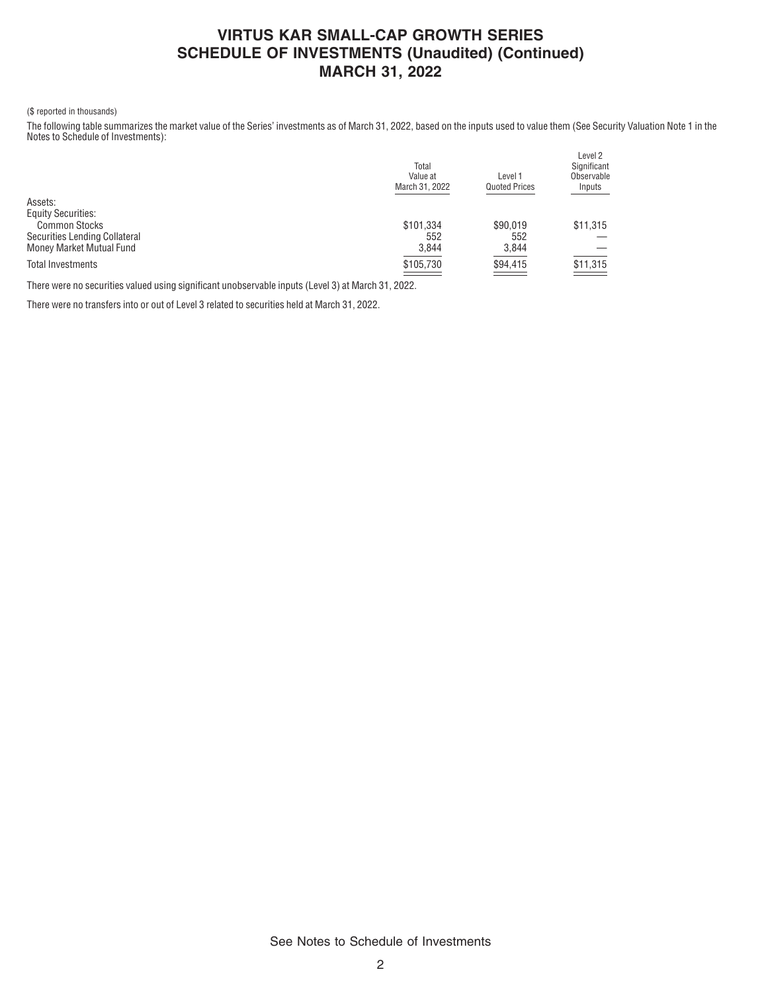### **VIRTUS KAR SMALL-CAP GROWTH SERIES SCHEDULE OF INVESTMENTS (Unaudited) (Continued) MARCH 31, 2022**

### (\$ reported in thousands)

The following table summarizes the market value of the Series' investments as of March 31, 2022, based on the inputs used to value them (See Security Valuation Note 1 in the Notes to Schedule of Investments):

|                               | Total<br>Value at<br>March 31, 2022 | Level 1<br><b>Quoted Prices</b> | Level 2<br>Significant<br>Observable<br>Inputs                                                                                                                                                                                                                                                                                                                                                                                    |
|-------------------------------|-------------------------------------|---------------------------------|-----------------------------------------------------------------------------------------------------------------------------------------------------------------------------------------------------------------------------------------------------------------------------------------------------------------------------------------------------------------------------------------------------------------------------------|
| Assets:                       |                                     |                                 |                                                                                                                                                                                                                                                                                                                                                                                                                                   |
| <b>Equity Securities:</b>     |                                     |                                 |                                                                                                                                                                                                                                                                                                                                                                                                                                   |
| <b>Common Stocks</b>          | \$101,334                           | \$90,019                        | \$11,315                                                                                                                                                                                                                                                                                                                                                                                                                          |
| Securities Lending Collateral | 552                                 | 552                             |                                                                                                                                                                                                                                                                                                                                                                                                                                   |
| Money Market Mutual Fund      | 3,844                               | 3,844                           |                                                                                                                                                                                                                                                                                                                                                                                                                                   |
| <b>Total Investments</b>      | \$105,730                           | \$94,415<br>___                 | \$11,315<br>$\frac{1}{1-\frac{1}{1-\frac{1}{1-\frac{1}{1-\frac{1}{1-\frac{1}{1-\frac{1}{1-\frac{1}{1-\frac{1}{1-\frac{1}{1-\frac{1}{1-\frac{1}{1-\frac{1}{1-\frac{1}{1-\frac{1}{1-\frac{1}{1-\frac{1}{1-\frac{1}{1-\frac{1}{1-\frac{1}{1-\frac{1}{1-\frac{1}{1-\frac{1}{1-\frac{1}{1-\frac{1}{1-\frac{1}{1-\frac{1}{1-\frac{1}{1-\frac{1}{1-\frac{1}{1-\frac{1}{1-\frac{1}{1-\frac{1}{1-\frac{1}{1-\frac{1}{1-\frac{1}{1-\frac{1$ |
|                               |                                     |                                 |                                                                                                                                                                                                                                                                                                                                                                                                                                   |

There were no securities valued using significant unobservable inputs (Level 3) at March 31, 2022.

There were no transfers into or out of Level 3 related to securities held at March 31, 2022.

See Notes to Schedule of Investments